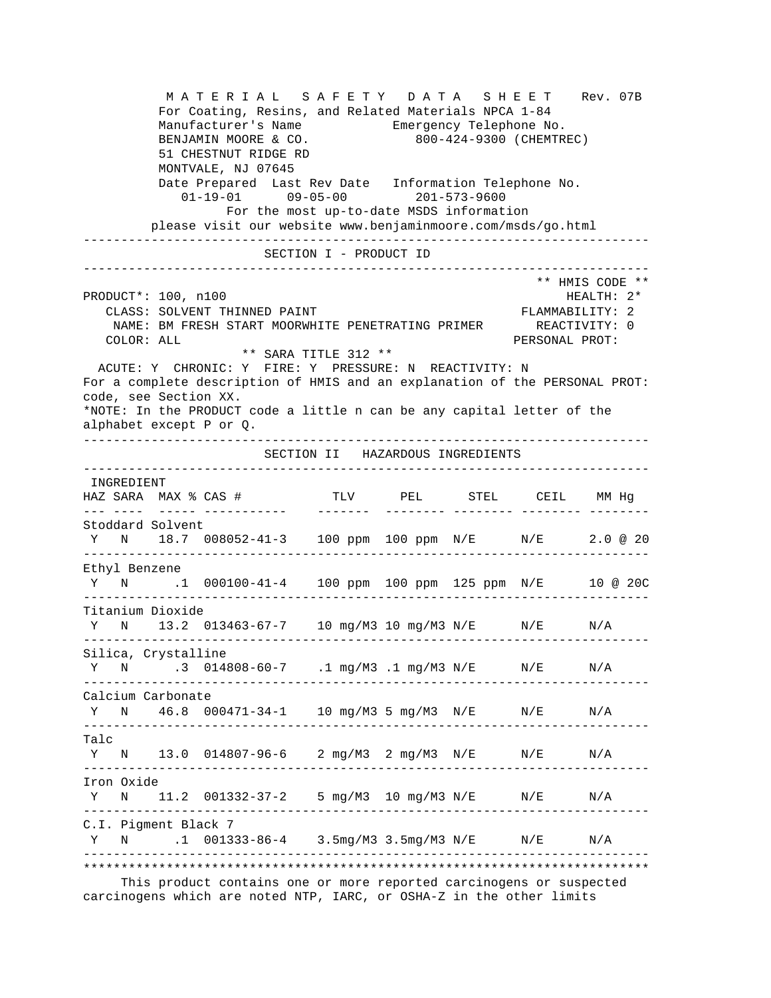M A T E R I A L S A F E T Y D A T A S H E E T Rev. 07B For Coating, Resins, and Related Materials NPCA 1-84 Manufacturer's Name Emergency Telephone No. BENJAMIN MOORE & CO. 800-424-9300 (CHEMTREC) 51 CHESTNUT RIDGE RD MONTVALE, NJ 07645 Date Prepared Last Rev Date Information Telephone No. 01-19-01 09-05-00 201-573-9600 For the most up-to-date MSDS information please visit our website www.benjaminmoore.com/msds/go.html --------------------------------------------------------------------------- SECTION I - PRODUCT ID --------------------------------------------------------------------------- \*\* HMIS CODE \*\* PRODUCT\*: 100, n100 HEALTH: 2\* CLASS: SOLVENT THINNED PAINT FLAMMABILITY: 2 NAME: BM FRESH START MOORWHITE PENETRATING PRIMER REACTIVITY: 0 COLOR: ALL PERSONAL PROT: \*\* SARA TITLE 312 \*\* ACUTE: Y CHRONIC: Y FIRE: Y PRESSURE: N REACTIVITY: N For a complete description of HMIS and an explanation of the PERSONAL PROT: code, see Section XX. \*NOTE: In the PRODUCT code a little n can be any capital letter of the alphabet except P or Q. --------------------------------------------------------------------------- SECTION II HAZARDOUS INGREDIENTS --------------------------------------------------------------------------- INGREDIENT HAZ SARA MAX % CAS # TLV PEL STEL CEIL MM Hg --- ---- ----- ----------- ------- -------- -------- -------- -------- Stoddard Solvent Y N 18.7 008052-41-3 100 ppm 100 ppm N/E N/E 2.0 @ 20 --------------------------------------------------------------------------- Ethyl Benzene Y N .1 000100-41-4 100 ppm 100 ppm 125 ppm N/E 10 @ 20C --------------------------------------------------------------------------- Titanium Dioxide Y N 13.2 013463-67-7 10 mg/M3 10 mg/M3 N/E N/E N/A --------------------------------------------------------------------------- Silica, Crystalline Y N .3 014808-60-7 .1 mg/M3 .1 mg/M3 N/E N/E N/A --------------------------------------------------------------------------- Calcium Carbonate Y N 46.8 000471-34-1 10 mg/M3 5 mg/M3 N/E N/E N/A --------------------------------------------------------------------------- Talc Y N 13.0 014807-96-6 2 mg/M3 2 mg/M3 N/E N/E N/A --------------------------------------------------------------------------- Iron Oxide Y N 11.2 001332-37-2 5 mg/M3 10 mg/M3 N/E N/E N/A --------------------------------------------------------------------------- C.I. Pigment Black 7 Y N .1 001333-86-4 3.5mg/M3 3.5mg/M3 N/E N/E N/A --------------------------------------------------------------------------- \*\*\*\*\*\*\*\*\*\*\*\*\*\*\*\*\*\*\*\*\*\*\*\*\*\*\*\*\*\*\*\*\*\*\*\*\*\*\*\*\*\*\*\*\*\*\*\*\*\*\*\*\*\*\*\*\*\*\*\*\*\*\*\*\*\*\*\*\*\*\*\*\*\*\*

 This product contains one or more reported carcinogens or suspected carcinogens which are noted NTP, IARC, or OSHA-Z in the other limits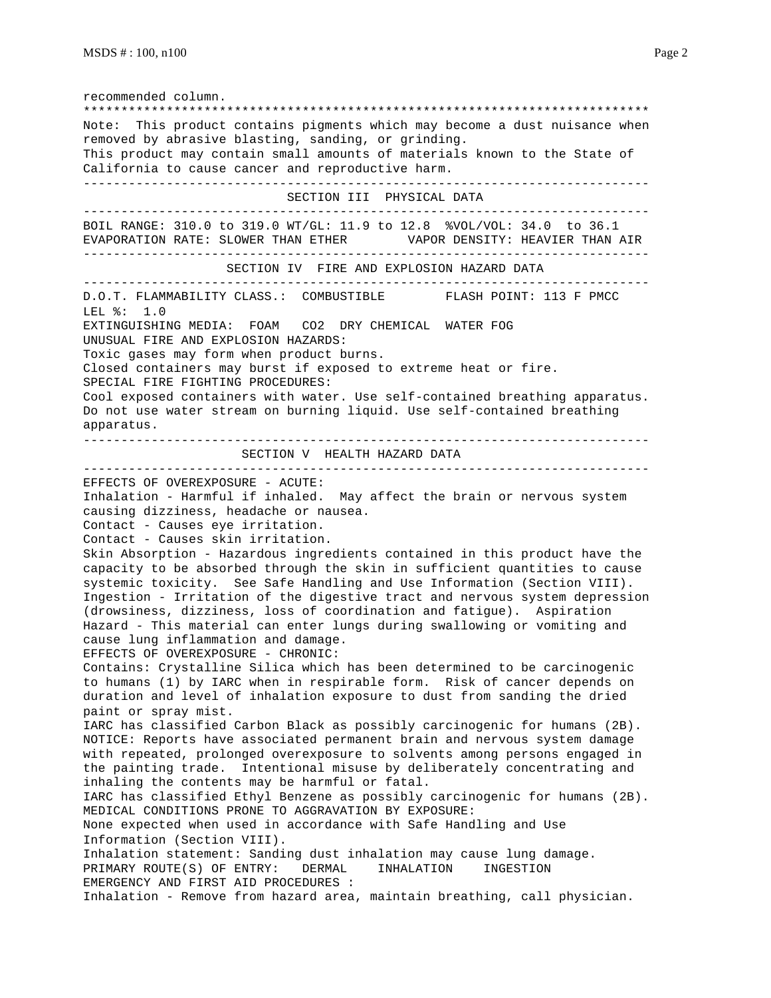recommended column. \*\*\*\*\*\*\*\*\*\*\*\*\*\*\*\*\*\*\*\*\*\*\*\*\*\*\*\*\*\*\*\*\*\*\*\*\*\*\*\*\*\*\*\*\*\*\*\*\*\*\*\*\*\*\*\*\*\*\*\*\*\*\*\*\*\*\*\*\*\*\*\*\*\*\* Note: This product contains pigments which may become a dust nuisance when removed by abrasive blasting, sanding, or grinding. This product may contain small amounts of materials known to the State of California to cause cancer and reproductive harm. --------------------------------------------------------------------------- SECTION III PHYSICAL DATA --------------------------------------------------------------------------- BOIL RANGE: 310.0 to 319.0 WT/GL: 11.9 to 12.8 %VOL/VOL: 34.0 to 36.1 EVAPORATION RATE: SLOWER THAN ETHER VAPOR DENSITY: HEAVIER THAN AIR --------------------------------------------------------------------------- SECTION IV FIRE AND EXPLOSION HAZARD DATA --------------------------------------------------------------------------- D.O.T. FLAMMABILITY CLASS.: COMBUSTIBLE FLASH POINT: 113 F PMCC LEL %: 1.0 EXTINGUISHING MEDIA: FOAM CO2 DRY CHEMICAL WATER FOG UNUSUAL FIRE AND EXPLOSION HAZARDS: Toxic gases may form when product burns. Closed containers may burst if exposed to extreme heat or fire. SPECIAL FIRE FIGHTING PROCEDURES: Cool exposed containers with water. Use self-contained breathing apparatus. Do not use water stream on burning liquid. Use self-contained breathing apparatus. --------------------------------------------------------------------------- SECTION V HEALTH HAZARD DATA --------------------------------------------------------------------------- EFFECTS OF OVEREXPOSURE - ACUTE: Inhalation - Harmful if inhaled. May affect the brain or nervous system causing dizziness, headache or nausea. Contact - Causes eye irritation. Contact - Causes skin irritation. Skin Absorption - Hazardous ingredients contained in this product have the capacity to be absorbed through the skin in sufficient quantities to cause systemic toxicity. See Safe Handling and Use Information (Section VIII). Ingestion - Irritation of the digestive tract and nervous system depression (drowsiness, dizziness, loss of coordination and fatigue). Aspiration Hazard - This material can enter lungs during swallowing or vomiting and cause lung inflammation and damage. EFFECTS OF OVEREXPOSURE - CHRONIC: Contains: Crystalline Silica which has been determined to be carcinogenic to humans (1) by IARC when in respirable form. Risk of cancer depends on duration and level of inhalation exposure to dust from sanding the dried paint or spray mist. IARC has classified Carbon Black as possibly carcinogenic for humans (2B). NOTICE: Reports have associated permanent brain and nervous system damage with repeated, prolonged overexposure to solvents among persons engaged in the painting trade. Intentional misuse by deliberately concentrating and inhaling the contents may be harmful or fatal. IARC has classified Ethyl Benzene as possibly carcinogenic for humans (2B). MEDICAL CONDITIONS PRONE TO AGGRAVATION BY EXPOSURE: None expected when used in accordance with Safe Handling and Use Information (Section VIII). Inhalation statement: Sanding dust inhalation may cause lung damage. PRIMARY ROUTE(S) OF ENTRY: DERMAL INHALATION INGESTION EMERGENCY AND FIRST AID PROCEDURES : Inhalation - Remove from hazard area, maintain breathing, call physician.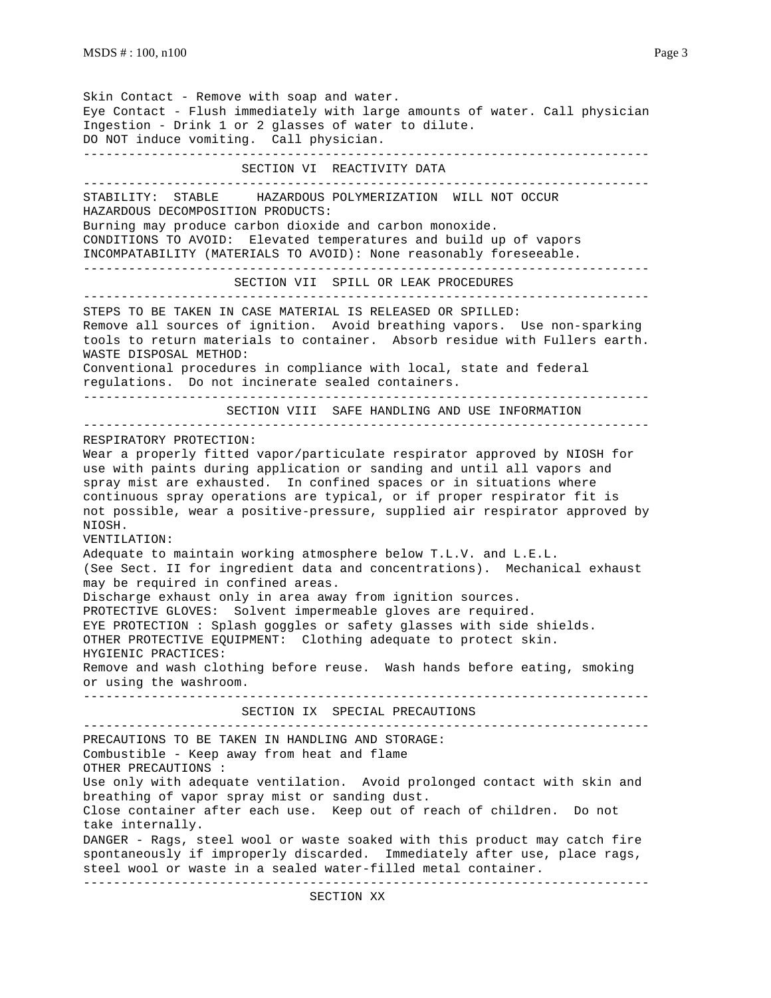Skin Contact - Remove with soap and water. Eye Contact - Flush immediately with large amounts of water. Call physician Ingestion - Drink 1 or 2 glasses of water to dilute. DO NOT induce vomiting. Call physician. --------------------------------------------------------------------------- SECTION VI REACTIVITY DATA --------------------------------------------------------------------------- STABILITY: STABLE HAZARDOUS POLYMERIZATION WILL NOT OCCUR HAZARDOUS DECOMPOSITION PRODUCTS: Burning may produce carbon dioxide and carbon monoxide. CONDITIONS TO AVOID: Elevated temperatures and build up of vapors INCOMPATABILITY (MATERIALS TO AVOID): None reasonably foreseeable. --------------------------------------------------------------------------- SECTION VII SPILL OR LEAK PROCEDURES --------------------------------------------------------------------------- STEPS TO BE TAKEN IN CASE MATERIAL IS RELEASED OR SPILLED: Remove all sources of ignition. Avoid breathing vapors. Use non-sparking tools to return materials to container. Absorb residue with Fullers earth. WASTE DISPOSAL METHOD: Conventional procedures in compliance with local, state and federal regulations. Do not incinerate sealed containers. --------------------------------------------------------------------------- SECTION VIII SAFE HANDLING AND USE INFORMATION --------------------------------------------------------------------------- RESPIRATORY PROTECTION: Wear a properly fitted vapor/particulate respirator approved by NIOSH for use with paints during application or sanding and until all vapors and spray mist are exhausted. In confined spaces or in situations where continuous spray operations are typical, or if proper respirator fit is not possible, wear a positive-pressure, supplied air respirator approved by NIOSH. VENTILATION: Adequate to maintain working atmosphere below T.L.V. and L.E.L. (See Sect. II for ingredient data and concentrations). Mechanical exhaust may be required in confined areas. Discharge exhaust only in area away from ignition sources. PROTECTIVE GLOVES: Solvent impermeable gloves are required. EYE PROTECTION : Splash goggles or safety glasses with side shields. OTHER PROTECTIVE EQUIPMENT: Clothing adequate to protect skin. HYGIENIC PRACTICES: Remove and wash clothing before reuse. Wash hands before eating, smoking or using the washroom. --------------------------------------------------------------------------- SECTION IX SPECIAL PRECAUTIONS --------------------------------------------------------------------------- PRECAUTIONS TO BE TAKEN IN HANDLING AND STORAGE: Combustible - Keep away from heat and flame OTHER PRECAUTIONS : Use only with adequate ventilation. Avoid prolonged contact with skin and breathing of vapor spray mist or sanding dust. Close container after each use. Keep out of reach of children. Do not take internally. DANGER - Rags, steel wool or waste soaked with this product may catch fire spontaneously if improperly discarded. Immediately after use, place rags, steel wool or waste in a sealed water-filled metal container. ---------------------------------------------------------------------------

SECTION XX